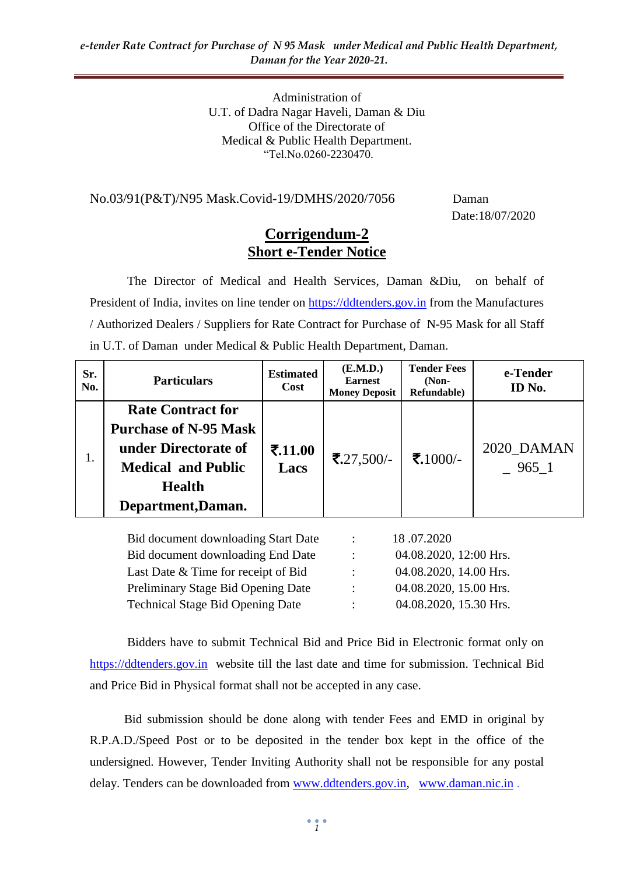Administration of U.T. of Dadra Nagar Haveli, Daman & Diu Office of the Directorate of Medical & Public Health Department. "Tel.No.0260-2230470.

#### No.03/91(P&T)/N95 Mask.Covid-19/DMHS/2020/7056 Daman

Date:18/07/2020

#### **Corrigendum-2 Short e-Tender Notice**

The Director of Medical and Health Services, Daman &Diu, on behalf of President of India, invites on line tender on [https://ddtenders.gov.in](https://ddtenders.gov.in/nicgep/app) from the Manufactures / Authorized Dealers / Suppliers for Rate Contract for Purchase of N-95 Mask for all Staff in U.T. of Daman under Medical & Public Health Department, Daman.

| Sr.<br>No.                                                                | <b>Particulars</b>                                                                                                                                   | <b>Estimated</b><br>Cost | (E.M.D.)<br><b>Earnest</b><br><b>Money Deposit</b> | <b>Tender Fees</b><br>$(Non-$<br>Refundable) | e-Tender<br>ID No.  |
|---------------------------------------------------------------------------|------------------------------------------------------------------------------------------------------------------------------------------------------|--------------------------|----------------------------------------------------|----------------------------------------------|---------------------|
|                                                                           | <b>Rate Contract for</b><br><b>Purchase of N-95 Mask</b><br>under Directorate of<br><b>Medical and Public</b><br><b>Health</b><br>Department, Daman. | 7.11.00<br>Lacs          | $\mathbf{7.27,}500/-$                              | ₹.1000/-                                     | 2020_DAMAN<br>965 1 |
| Bid document downloading Start Date<br>18.07.2020<br>$\ddot{\phantom{a}}$ |                                                                                                                                                      |                          |                                                    |                                              |                     |

|                      | 10.01.2020             |
|----------------------|------------------------|
| $\ddot{\phantom{a}}$ | 04.08.2020, 12:00 Hrs. |
| ٠                    | 04.08.2020, 14.00 Hrs. |
| ٠                    | 04.08.2020, 15.00 Hrs. |
| ٠                    | 04.08.2020, 15.30 Hrs. |
|                      |                        |

Bidders have to submit Technical Bid and Price Bid in Electronic format only on [https://ddtenders.gov.in](https://ddtenders.gov.in/) website till the last date and time for submission. Technical Bid and Price Bid in Physical format shall not be accepted in any case.

 Bid submission should be done along with tender Fees and EMD in original by R.P.A.D./Speed Post or to be deposited in the tender box kept in the office of the undersigned. However, Tender Inviting Authority shall not be responsible for any postal delay. Tenders can be downloaded from [www.ddtenders.gov.in,](http://www.ddtenders.gov.in/) [www.daman.nic.in](http://www.daman.nic.in/) .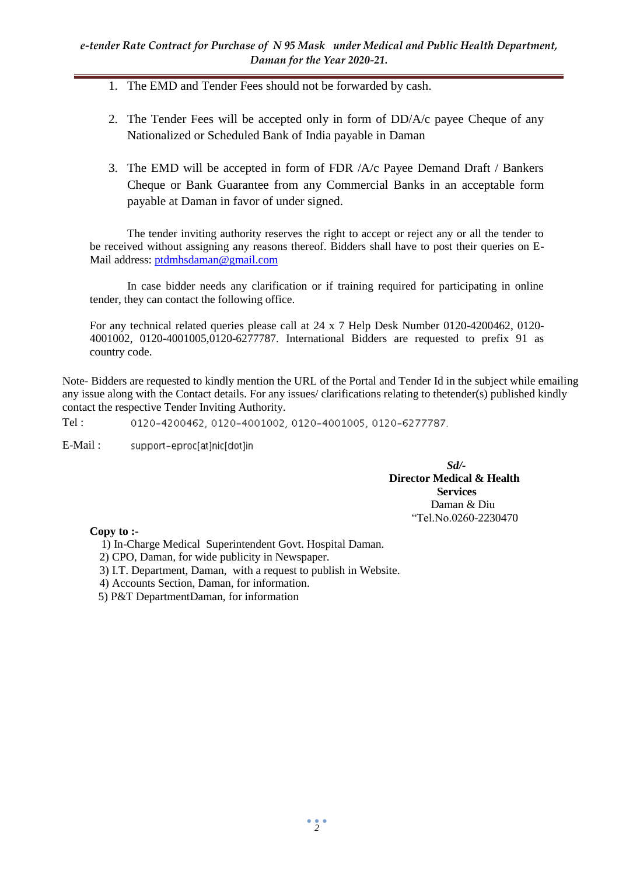- 1. The EMD and Tender Fees should not be forwarded by cash.
- 2. The Tender Fees will be accepted only in form of DD/A/c payee Cheque of any Nationalized or Scheduled Bank of India payable in Daman
- 3. The EMD will be accepted in form of FDR /A/c Payee Demand Draft / Bankers Cheque or Bank Guarantee from any Commercial Banks in an acceptable form payable at Daman in favor of under signed.

The tender inviting authority reserves the right to accept or reject any or all the tender to be received without assigning any reasons thereof. Bidders shall have to post their queries on E-Mail address: [ptdmhsdaman@gmail.com](mailto:ptdmhsdaman@gmail.com)

In case bidder needs any clarification or if training required for participating in online tender, they can contact the following office.

For any technical related queries please call at 24 x 7 Help Desk Number 0120-4200462, 0120- 4001002, 0120-4001005,0120-6277787. International Bidders are requested to prefix 91 as country code.

Note- Bidders are requested to kindly mention the URL of the Portal and Tender Id in the subject while emailing any issue along with the Contact details. For any issues/ clarifications relating to thetender(s) published kindly contact the respective Tender Inviting Authority.

Tel : 0120-4200462, 0120-4001002, 0120-4001005, 0120-6277787.

E-Mail : support-eproc[at]nic[dot]in

> *Sd/-* **Director Medical & Health Services**  Daman & Diu "Tel.No.0260-2230470

**Copy to :-**

1) In-Charge Medical Superintendent Govt. Hospital Daman.

- 2) CPO, Daman, for wide publicity in Newspaper.
- 3) I.T. Department, Daman, with a request to publish in Website.
- 4) Accounts Section, Daman, for information.
- 5) P&T DepartmentDaman, for information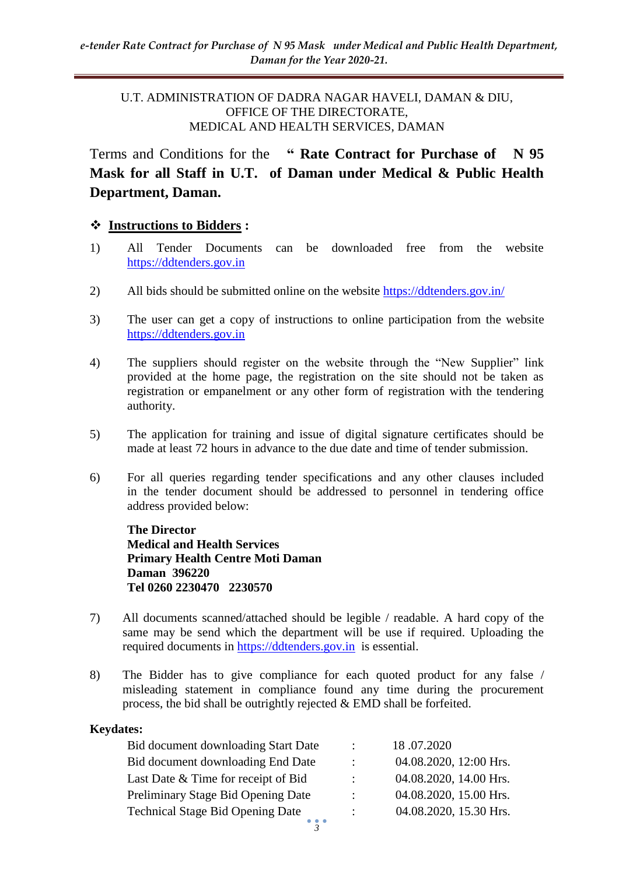#### U.T. ADMINISTRATION OF DADRA NAGAR HAVELI, DAMAN & DIU, OFFICE OF THE DIRECTORATE, MEDICAL AND HEALTH SERVICES, DAMAN

Terms and Conditions for the **" Rate Contract for Purchase of N 95 Mask for all Staff in U.T. of Daman under Medical & Public Health Department, Daman.**

#### **Instructions to Bidders :**

- 1) All Tender Documents can be downloaded free from the website [https://ddtenders.gov.in](https://ddtenders.gov.in/nicgep/app)
- 2) All bids should be submitted online on the website [https://ddtenders.gov.in/](https://ddtenders.gov.in/nicgep/app)
- 3) The user can get a copy of instructions to online participation from the website [https://ddtenders.gov.in](https://ddtenders.gov.in/)
- 4) The suppliers should register on the website through the "New Supplier" link provided at the home page, the registration on the site should not be taken as registration or empanelment or any other form of registration with the tendering authority.
- 5) The application for training and issue of digital signature certificates should be made at least 72 hours in advance to the due date and time of tender submission.
- 6) For all queries regarding tender specifications and any other clauses included in the tender document should be addressed to personnel in tendering office address provided below:

**The Director Medical and Health Services Primary Health Centre Moti Daman Daman 396220 Tel 0260 2230470 2230570**

- 7) All documents scanned/attached should be legible / readable. A hard copy of the same may be send which the department will be use if required. Uploading the required documents in [https://ddtenders.gov.in](https://ddtenders.gov.in/nicgep/app) is essential.
- 8) The Bidder has to give compliance for each quoted product for any false / misleading statement in compliance found any time during the procurement process, the bid shall be outrightly rejected & EMD shall be forfeited.

#### **Keydates:**

| Bid document downloading Start Date     | $\mathbb{Z}^{\mathbb{Z}}$ | 18.07.2020             |
|-----------------------------------------|---------------------------|------------------------|
| Bid document downloading End Date       | $\mathbb{Z}$              | 04.08.2020, 12:00 Hrs. |
| Last Date & Time for receipt of Bid     |                           | 04.08.2020, 14.00 Hrs. |
| Preliminary Stage Bid Opening Date      | $\ddot{\phantom{0}}$      | 04.08.2020, 15.00 Hrs. |
| <b>Technical Stage Bid Opening Date</b> | $\mathbb{Z}^{\mathbb{Z}}$ | 04.08.2020, 15.30 Hrs. |
|                                         |                           |                        |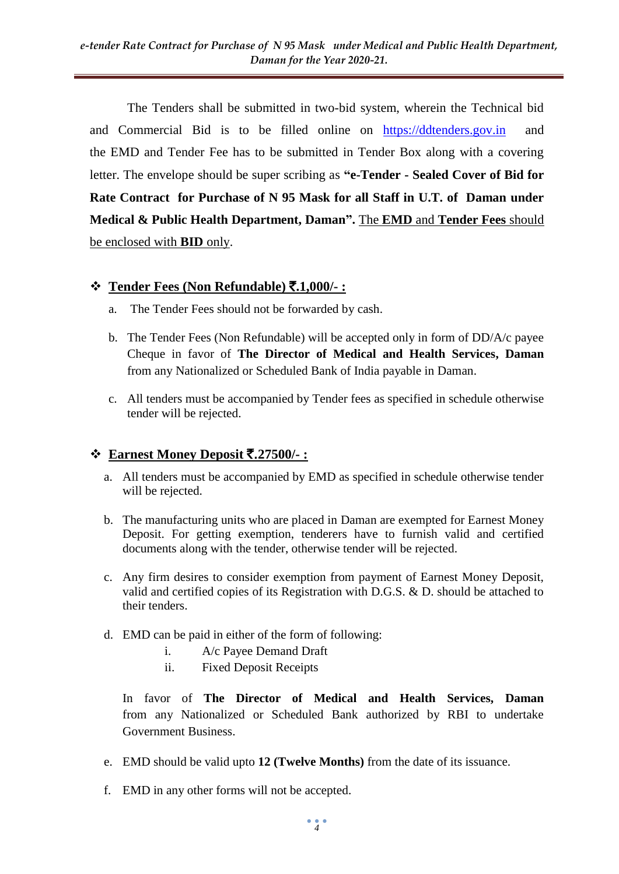The Tenders shall be submitted in two-bid system, wherein the Technical bid and Commercial Bid is to be filled online on [https://ddtenders.gov.in](https://ddtenders.gov.in/nicgep/app) and the EMD and Tender Fee has to be submitted in Tender Box along with a covering letter. The envelope should be super scribing as **"e-Tender - Sealed Cover of Bid for Rate Contract for Purchase of N 95 Mask for all Staff in U.T. of Daman under Medical & Public Health Department, Daman".** The **EMD** and **Tender Fees** should be enclosed with **BID** only.

## **Tender Fees (Non Refundable)** `**.1,000/- :**

- a. The Tender Fees should not be forwarded by cash.
- b. The Tender Fees (Non Refundable) will be accepted only in form of DD/A/c payee Cheque in favor of **The Director of Medical and Health Services, Daman**  from any Nationalized or Scheduled Bank of India payable in Daman.
- c. All tenders must be accompanied by Tender fees as specified in schedule otherwise tender will be rejected.

## $\div$  **Earnest Money Deposit ₹.27500/-:**

- a. All tenders must be accompanied by EMD as specified in schedule otherwise tender will be rejected.
- b. The manufacturing units who are placed in Daman are exempted for Earnest Money Deposit. For getting exemption, tenderers have to furnish valid and certified documents along with the tender, otherwise tender will be rejected.
- c. Any firm desires to consider exemption from payment of Earnest Money Deposit, valid and certified copies of its Registration with D.G.S. & D. should be attached to their tenders.
- d. EMD can be paid in either of the form of following:
	- i. A/c Payee Demand Draft
	- ii. Fixed Deposit Receipts

In favor of **The Director of Medical and Health Services, Daman**  from any Nationalized or Scheduled Bank authorized by RBI to undertake Government Business.

- e. EMD should be valid upto **12 (Twelve Months)** from the date of its issuance.
- f. EMD in any other forms will not be accepted.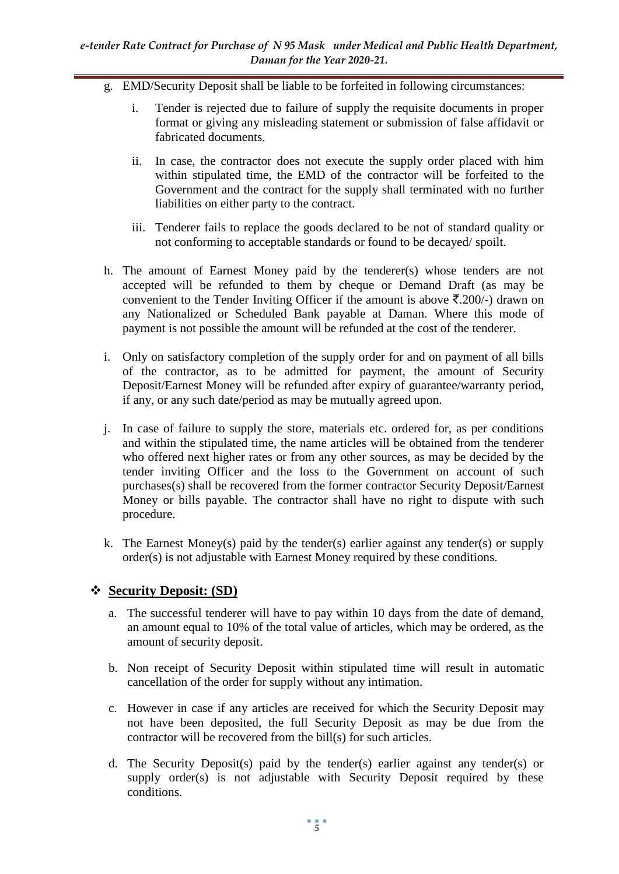- g. EMD/Security Deposit shall be liable to be forfeited in following circumstances:
	- i. Tender is rejected due to failure of supply the requisite documents in proper format or giving any misleading statement or submission of false affidavit or fabricated documents.
	- ii. In case, the contractor does not execute the supply order placed with him within stipulated time, the EMD of the contractor will be forfeited to the Government and the contract for the supply shall terminated with no further liabilities on either party to the contract.
	- iii. Tenderer fails to replace the goods declared to be not of standard quality or not conforming to acceptable standards or found to be decayed/ spoilt.
- h. The amount of Earnest Money paid by the tenderer(s) whose tenders are not accepted will be refunded to them by cheque or Demand Draft (as may be convenient to the Tender Inviting Officer if the amount is above  $\bar{\mathfrak{X}}.200/-$ ) drawn on any Nationalized or Scheduled Bank payable at Daman. Where this mode of payment is not possible the amount will be refunded at the cost of the tenderer.
- i. Only on satisfactory completion of the supply order for and on payment of all bills of the contractor, as to be admitted for payment, the amount of Security Deposit/Earnest Money will be refunded after expiry of guarantee/warranty period, if any, or any such date/period as may be mutually agreed upon.
- j. In case of failure to supply the store, materials etc. ordered for, as per conditions and within the stipulated time, the name articles will be obtained from the tenderer who offered next higher rates or from any other sources, as may be decided by the tender inviting Officer and the loss to the Government on account of such purchases(s) shall be recovered from the former contractor Security Deposit/Earnest Money or bills payable. The contractor shall have no right to dispute with such procedure.
- k. The Earnest Money(s) paid by the tender(s) earlier against any tender(s) or supply order(s) is not adjustable with Earnest Money required by these conditions.

#### **Security Deposit: (SD)**

- a. The successful tenderer will have to pay within 10 days from the date of demand, an amount equal to 10% of the total value of articles, which may be ordered, as the amount of security deposit.
- b. Non receipt of Security Deposit within stipulated time will result in automatic cancellation of the order for supply without any intimation.
- c. However in case if any articles are received for which the Security Deposit may not have been deposited, the full Security Deposit as may be due from the contractor will be recovered from the bill(s) for such articles.
- d. The Security Deposit(s) paid by the tender(s) earlier against any tender(s) or supply order(s) is not adjustable with Security Deposit required by these conditions.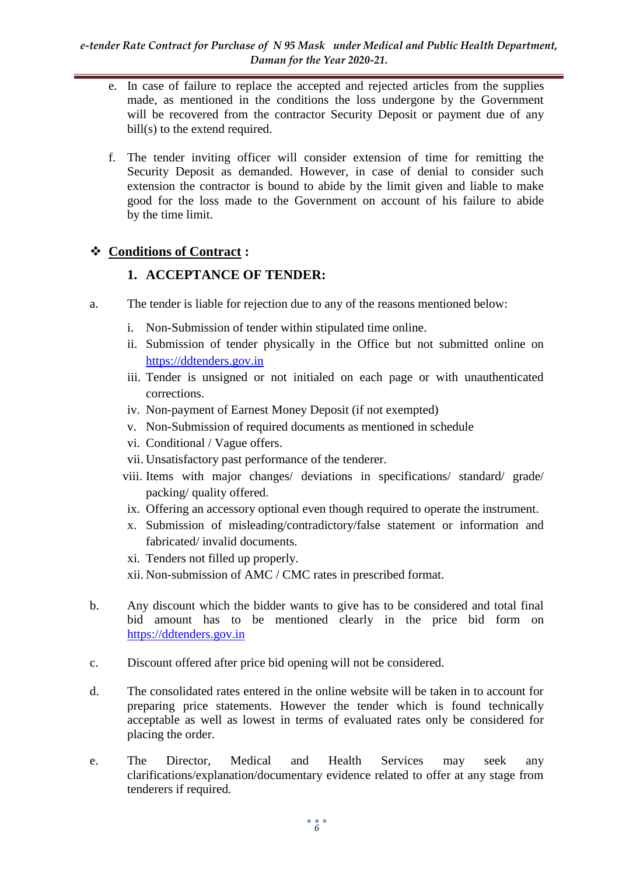- e. In case of failure to replace the accepted and rejected articles from the supplies made, as mentioned in the conditions the loss undergone by the Government will be recovered from the contractor Security Deposit or payment due of any bill(s) to the extend required.
- f. The tender inviting officer will consider extension of time for remitting the Security Deposit as demanded. However, in case of denial to consider such extension the contractor is bound to abide by the limit given and liable to make good for the loss made to the Government on account of his failure to abide by the time limit.

## **Conditions of Contract :**

## **1. ACCEPTANCE OF TENDER:**

- a. The tender is liable for rejection due to any of the reasons mentioned below:
	- i. Non-Submission of tender within stipulated time online.
	- ii. Submission of tender physically in the Office but not submitted online on [https://ddtenders.gov.in](https://ddtenders.gov.in/nicgep/app)
	- iii. Tender is unsigned or not initialed on each page or with unauthenticated corrections.
	- iv. Non-payment of Earnest Money Deposit (if not exempted)
	- v. Non-Submission of required documents as mentioned in schedule
	- vi. Conditional / Vague offers.
	- vii. Unsatisfactory past performance of the tenderer.
	- viii. Items with major changes/ deviations in specifications/ standard/ grade/ packing/ quality offered.
	- ix. Offering an accessory optional even though required to operate the instrument.
	- x. Submission of misleading/contradictory/false statement or information and fabricated/ invalid documents.
	- xi. Tenders not filled up properly.
	- xii. Non-submission of AMC / CMC rates in prescribed format.
- b. Any discount which the bidder wants to give has to be considered and total final bid amount has to be mentioned clearly in the price bid form on [https://ddtenders.gov.in](https://ddtenders.gov.in/)
- c. Discount offered after price bid opening will not be considered.
- d. The consolidated rates entered in the online website will be taken in to account for preparing price statements. However the tender which is found technically acceptable as well as lowest in terms of evaluated rates only be considered for placing the order.
- e. The Director, Medical and Health Services may seek any clarifications/explanation/documentary evidence related to offer at any stage from tenderers if required.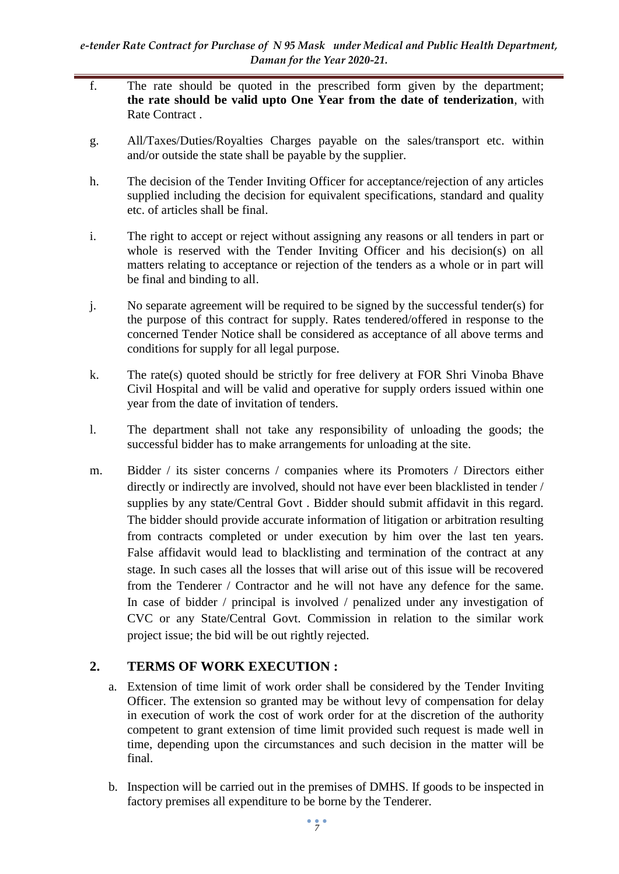- f. The rate should be quoted in the prescribed form given by the department; **the rate should be valid upto One Year from the date of tenderization**, with Rate Contract .
- g. All/Taxes/Duties/Royalties Charges payable on the sales/transport etc. within and/or outside the state shall be payable by the supplier.
- h. The decision of the Tender Inviting Officer for acceptance/rejection of any articles supplied including the decision for equivalent specifications, standard and quality etc. of articles shall be final.
- i. The right to accept or reject without assigning any reasons or all tenders in part or whole is reserved with the Tender Inviting Officer and his decision(s) on all matters relating to acceptance or rejection of the tenders as a whole or in part will be final and binding to all.
- j. No separate agreement will be required to be signed by the successful tender(s) for the purpose of this contract for supply. Rates tendered/offered in response to the concerned Tender Notice shall be considered as acceptance of all above terms and conditions for supply for all legal purpose.
- k. The rate(s) quoted should be strictly for free delivery at FOR Shri Vinoba Bhave Civil Hospital and will be valid and operative for supply orders issued within one year from the date of invitation of tenders.
- l. The department shall not take any responsibility of unloading the goods; the successful bidder has to make arrangements for unloading at the site.
- m. Bidder / its sister concerns / companies where its Promoters / Directors either directly or indirectly are involved, should not have ever been blacklisted in tender / supplies by any state/Central Govt . Bidder should submit affidavit in this regard. The bidder should provide accurate information of litigation or arbitration resulting from contracts completed or under execution by him over the last ten years. False affidavit would lead to blacklisting and termination of the contract at any stage. In such cases all the losses that will arise out of this issue will be recovered from the Tenderer / Contractor and he will not have any defence for the same. In case of bidder / principal is involved / penalized under any investigation of CVC or any State/Central Govt. Commission in relation to the similar work project issue; the bid will be out rightly rejected.

## **2. TERMS OF WORK EXECUTION :**

- a. Extension of time limit of work order shall be considered by the Tender Inviting Officer. The extension so granted may be without levy of compensation for delay in execution of work the cost of work order for at the discretion of the authority competent to grant extension of time limit provided such request is made well in time, depending upon the circumstances and such decision in the matter will be final.
- b. Inspection will be carried out in the premises of DMHS. If goods to be inspected in factory premises all expenditure to be borne by the Tenderer.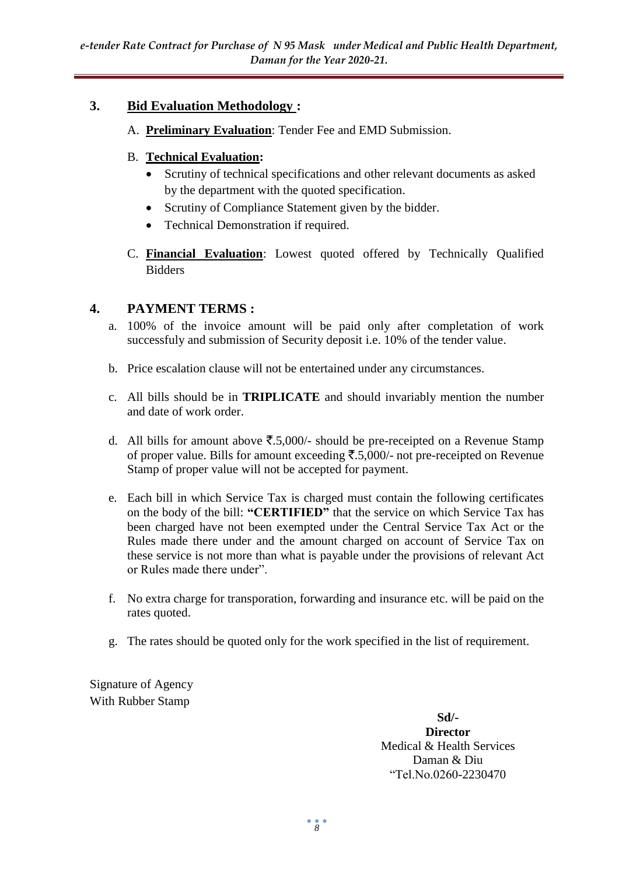## **3. Bid Evaluation Methodology :**

A. **Preliminary Evaluation**: Tender Fee and EMD Submission.

#### B. **Technical Evaluation:**

- Scrutiny of technical specifications and other relevant documents as asked by the department with the quoted specification.
- Scrutiny of Compliance Statement given by the bidder.
- Technical Demonstration if required.
- C. **Financial Evaluation**: Lowest quoted offered by Technically Qualified Bidders

#### **4. PAYMENT TERMS :**

- a. 100% of the invoice amount will be paid only after completation of work successfuly and submission of Security deposit i.e. 10% of the tender value.
- b. Price escalation clause will not be entertained under any circumstances.
- c. All bills should be in **TRIPLICATE** and should invariably mention the number and date of work order.
- d. All bills for amount above  $\overline{\mathfrak{F}}.5,000/$  should be pre-receipted on a Revenue Stamp of proper value. Bills for amount exceeding  $\overline{\xi}$ .5,000/- not pre-receipted on Revenue Stamp of proper value will not be accepted for payment.
- e. Each bill in which Service Tax is charged must contain the following certificates on the body of the bill: **"CERTIFIED"** that the service on which Service Tax has been charged have not been exempted under the Central Service Tax Act or the Rules made there under and the amount charged on account of Service Tax on these service is not more than what is payable under the provisions of relevant Act or Rules made there under".
- f. No extra charge for transporation, forwarding and insurance etc. will be paid on the rates quoted.
- g. The rates should be quoted only for the work specified in the list of requirement.

Signature of Agency With Rubber Stamp

> **Sd/- Director** Medical & Health Services Daman & Diu "Tel.No.0260-2230470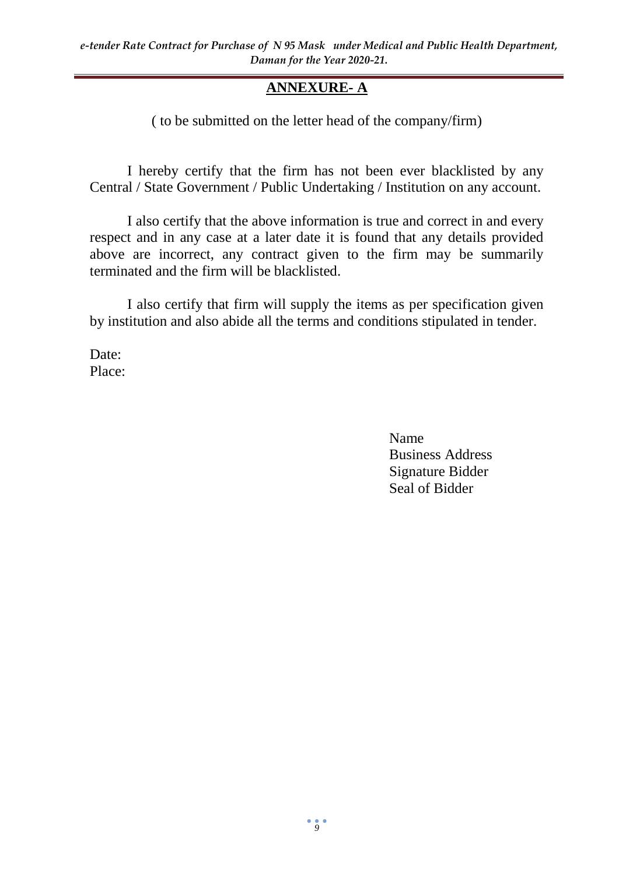# **ANNEXURE- A**

( to be submitted on the letter head of the company/firm)

I hereby certify that the firm has not been ever blacklisted by any Central / State Government / Public Undertaking / Institution on any account.

I also certify that the above information is true and correct in and every respect and in any case at a later date it is found that any details provided above are incorrect, any contract given to the firm may be summarily terminated and the firm will be blacklisted.

I also certify that firm will supply the items as per specification given by institution and also abide all the terms and conditions stipulated in tender.

Date: Place:

> Name Business Address Signature Bidder Seal of Bidder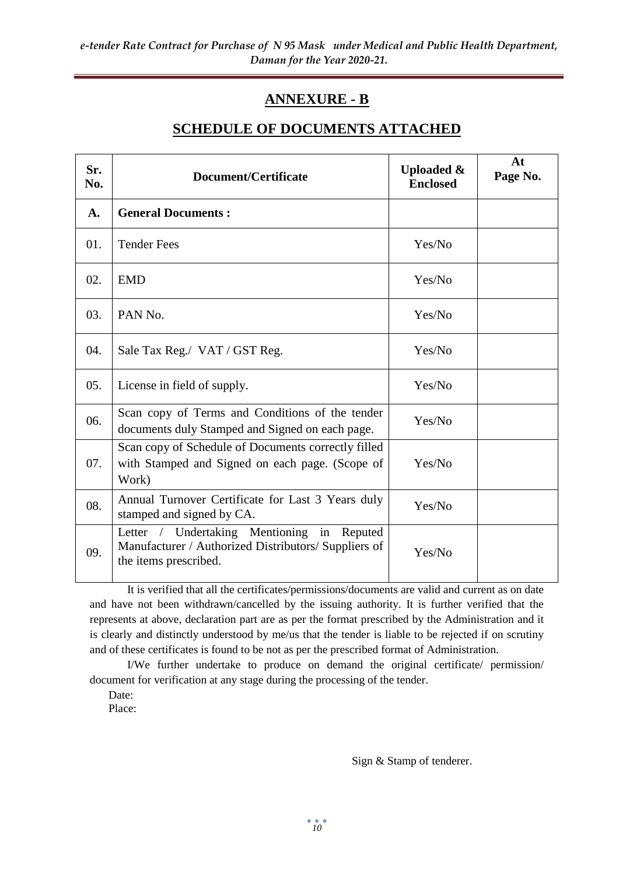# **ANNEXURE - B**

### **SCHEDULE OF DOCUMENTS ATTACHED**

| Sr.<br>No. | Document/Certificate                                                                                                              | <b>Uploaded &amp;</b><br><b>Enclosed</b> | At<br>Page No. |
|------------|-----------------------------------------------------------------------------------------------------------------------------------|------------------------------------------|----------------|
| A.         | <b>General Documents:</b>                                                                                                         |                                          |                |
| 01.        | <b>Tender Fees</b>                                                                                                                | Yes/No                                   |                |
| 02.        | <b>EMD</b>                                                                                                                        | Yes/No                                   |                |
| 03.        | PAN No.                                                                                                                           | Yes/No                                   |                |
| 04.        | Sale Tax Reg./ VAT / GST Reg.                                                                                                     | Yes/No                                   |                |
| 05.        | License in field of supply.                                                                                                       | Yes/No                                   |                |
| 06.        | Scan copy of Terms and Conditions of the tender<br>documents duly Stamped and Signed on each page.                                | Yes/No                                   |                |
| 07.        | Scan copy of Schedule of Documents correctly filled<br>with Stamped and Signed on each page. (Scope of<br>Work)                   | Yes/No                                   |                |
| 08.        | Annual Turnover Certificate for Last 3 Years duly<br>stamped and signed by CA.                                                    | Yes/No                                   |                |
| 09.        | Letter / Undertaking Mentioning<br>in<br>Reputed<br>Manufacturer / Authorized Distributors/ Suppliers of<br>the items prescribed. | Yes/No                                   |                |

It is verified that all the certificates/permissions/documents are valid and current as on date and have not been withdrawn/cancelled by the issuing authority. It is further verified that the represents at above, declaration part are as per the format prescribed by the Administration and it is clearly and distinctly understood by me/us that the tender is liable to be rejected if on scrutiny and of these certificates is found to be not as per the prescribed format of Administration.

I/We further undertake to produce on demand the original certificate/ permission/ document for verification at any stage during the processing of the tender.

Date:

Place:

Sign & Stamp of tenderer.